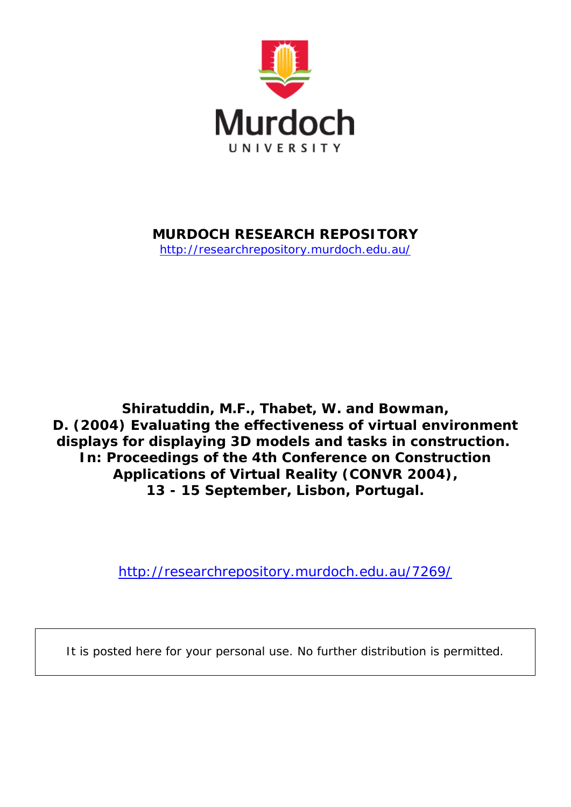

# **MURDOCH RESEARCH REPOSITORY**

<http://researchrepository.murdoch.edu.au/>

**Shiratuddin, M.F., Thabet, W. and Bowman, D. (2004)** *Evaluating the effectiveness of virtual environment displays for displaying 3D models and tasks in construction.* **In: Proceedings of the 4th Conference on Construction Applications of Virtual Reality (CONVR 2004), 13 - 15 September, Lisbon, Portugal.**

<http://researchrepository.murdoch.edu.au/7269/>

It is posted here for your personal use. No further distribution is permitted.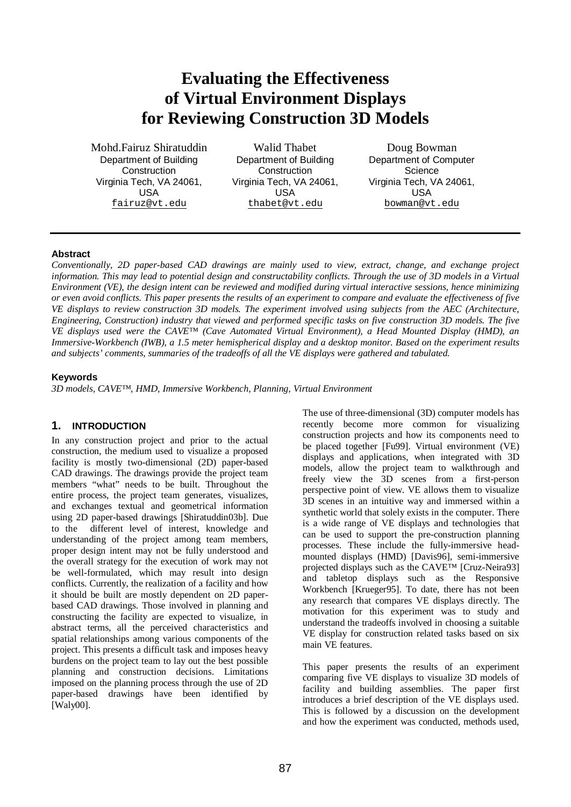# **Evaluating the Effectiveness of Virtual Environment Displays for Reviewing Construction 3D Models**

Mohd.Fairuz Shiratuddin Department of Building **Construction** Virginia Tech, VA 24061, USA [fairuz@vt.edu](mailto:fairuz@vt.edu)

Walid Thabet Department of Building **Construction** Virginia Tech, VA 24061, USA [thabet@vt.edu](mailto:thabet@vt.edu)

Doug Bowman Department of Computer **Science** Virginia Tech, VA 24061, USA [bowman@vt.edu](mailto:bowman@vt.edu)

#### **Abstract**

*Conventionally, 2D paper-based CAD drawings are mainly used to view, extract, change, and exchange project*  information. This may lead to potential design and constructability conflicts. Through the use of 3D models in a Virtual Environment (VE), the design intent can be reviewed and modified during virtual interactive sessions, hence minimizing or even avoid conflicts. This paper presents the results of an experiment to compare and evaluate the effectiveness of five VE displays to review construction 3D models. The experiment involved using subjects from the AEC (Architecture, Engineering, Construction) industry that viewed and performed specific tasks on five construction 3D models. The five *VE displays used were the CAVE™ (Cave Automated Virtual Environment), a Head Mounted Display (HMD), an Immersive-Workbench (IWB), a 1.5 meter hemispherical display and a desktop monitor. Based on the experiment results and subjects' comments, summaries of the tradeoffs of all the VE displays were gathered and tabulated.* 

### **Keywords**

*3D models, CAVE™, HMD, Immersive Workbench, Planning, Virtual Environment* 

### **1. INTRODUCTION**

In any construction project and prior to the actual construction, the medium used to visualize a proposed facility is mostly two-dimensional (2D) paper-based CAD drawings. The drawings provide the project team members "what" needs to be built. Throughout the entire process, the project team generates, visualizes, and exchanges textual and geometrical information using 2D paper-based drawings [Shiratuddin03b]. Due to the different level of interest, knowledge and understanding of the project among team members, proper design intent may not be fully understood and the overall strategy for the execution of work may not be well-formulated, which may result into design conflicts. Currently, the realization of a facility and how it should be built are mostly dependent on 2D paperbased CAD drawings. Those involved in planning and constructing the facility are expected to visualize, in abstract terms, all the perceived characteristics and spatial relationships among various components of the project. This presents a difficult task and imposes heavy burdens on the project team to lay out the best possible planning and construction decisions. Limitations imposed on the planning process through the use of 2D paper-based drawings have been identified by [Waly00].

The use of three-dimensional (3D) computer models has recently become more common for visualizing construction projects and how its components need to be placed together [Fu99]. Virtual environment (VE) displays and applications, when integrated with 3D models, allow the project team to walkthrough and freely view the 3D scenes from a first-person perspective point of view. VE allows them to visualize 3D scenes in an intuitive way and immersed within a synthetic world that solely exists in the computer. There is a wide range of VE displays and technologies that can be used to support the pre-construction planning processes. These include the fully-immersive headmounted displays (HMD) [Davis96], semi-immersive projected displays such as the CAVE™ [Cruz-Neira93] and tabletop displays such as the Responsive Workbench [Krueger95]. To date, there has not been any research that compares VE displays directly. The motivation for this experiment was to study and understand the tradeoffs involved in choosing a suitable VE display for construction related tasks based on six main VE features.

This paper presents the results of an experiment comparing five VE displays to visualize 3D models of facility and building assemblies. The paper first introduces a brief description of the VE displays used. This is followed by a discussion on the development and how the experiment was conducted, methods used,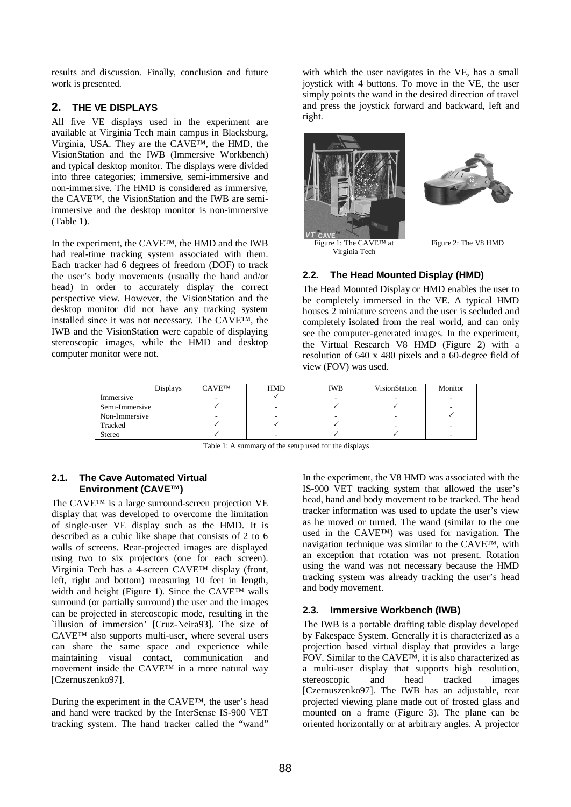results and discussion. Finally, conclusion and future work is presented.

### **2. THE VE DISPLAYS**

All five VE displays used in the experiment are available at Virginia Tech main campus in Blacksburg, Virginia, USA. They are the CAVE™, the HMD, the VisionStation and the IWB (Immersive Workbench) and typical desktop monitor. The displays were divided into three categories; immersive, semi-immersive and non-immersive. The HMD is considered as immersive, the CAVE™, the VisionStation and the IWB are semiimmersive and the desktop monitor is non-immersive (Table 1).

In the experiment, the CAVE™, the HMD and the IWB had real-time tracking system associated with them. Each tracker had 6 degrees of freedom (DOF) to track the user's body movements (usually the hand and/or head) in order to accurately display the correct perspective view. However, the VisionStation and the desktop monitor did not have any tracking system installed since it was not necessary. The CAVE™, the IWB and the VisionStation were capable of displaying stereoscopic images, while the HMD and desktop computer monitor were not.

with which the user navigates in the VE, has a small joystick with 4 buttons. To move in the VE, the user simply points the wand in the desired direction of travel and press the joystick forward and backward, left and right.



Figure 1: The CAVE™ at Virginia Tech



Figure 2: The V8 HMD

# **2.2. The Head Mounted Display (HMD)**

The Head Mounted Display or HMD enables the user to be completely immersed in the VE. A typical HMD houses 2 miniature screens and the user is secluded and completely isolated from the real world, and can only see the computer-generated images. In the experiment, the Virtual Research V8 HMD (Figure 2) with a resolution of 640 x 480 pixels and a 60-degree field of view (FOV) was used.

| <b>Displays</b> | <b>CAVETM</b> | <b>HMD</b> | IWB | VisionStation | Monitor |
|-----------------|---------------|------------|-----|---------------|---------|
| Immersive       |               |            |     |               |         |
| Semi-Immersive  |               | -          |     |               |         |
| Non-Immersive   |               |            |     |               |         |
| Tracked         |               |            |     |               |         |
| Stereo          |               | -          |     |               | -       |

Table 1: A summary of the setup used for the displays

#### **2.1. The Cave Automated Virtual Environment (CAVE™)**

The CAVE™ is a large surround-screen projection VE display that was developed to overcome the limitation of single-user VE display such as the HMD. It is described as a cubic like shape that consists of 2 to 6 walls of screens. Rear-projected images are displayed using two to six projectors (one for each screen). Virginia Tech has a 4-screen CAVE™ display (front, left, right and bottom) measuring 10 feet in length, width and height (Figure 1). Since the CAVE™ walls surround (or partially surround) the user and the images can be projected in stereoscopic mode, resulting in the `illusion of immersion' [Cruz-Neira93]. The size of CAVE™ also supports multi-user, where several users can share the same space and experience while maintaining visual contact, communication and movement inside the CAVE™ in a more natural way [Czernuszenko97].

During the experiment in the CAVE™, the user's head and hand were tracked by the InterSense IS-900 VET tracking system. The hand tracker called the "wand" In the experiment, the V8 HMD was associated with the IS-900 VET tracking system that allowed the user's head, hand and body movement to be tracked. The head tracker information was used to update the user's view as he moved or turned. The wand (similar to the one used in the CAVE™) was used for navigation. The navigation technique was similar to the CAVE™, with an exception that rotation was not present. Rotation using the wand was not necessary because the HMD tracking system was already tracking the user's head and body movement.

### **2.3. Immersive Workbench (IWB)**

The IWB is a portable drafting table display developed by Fakespace System. Generally it is characterized as a projection based virtual display that provides a large FOV. Similar to the CAVE™, it is also characterized as a multi-user display that supports high resolution, stereoscopic and head tracked images [Czernuszenko97]. The IWB has an adjustable, rear projected viewing plane made out of frosted glass and mounted on a frame (Figure 3). The plane can be oriented horizontally or at arbitrary angles. A projector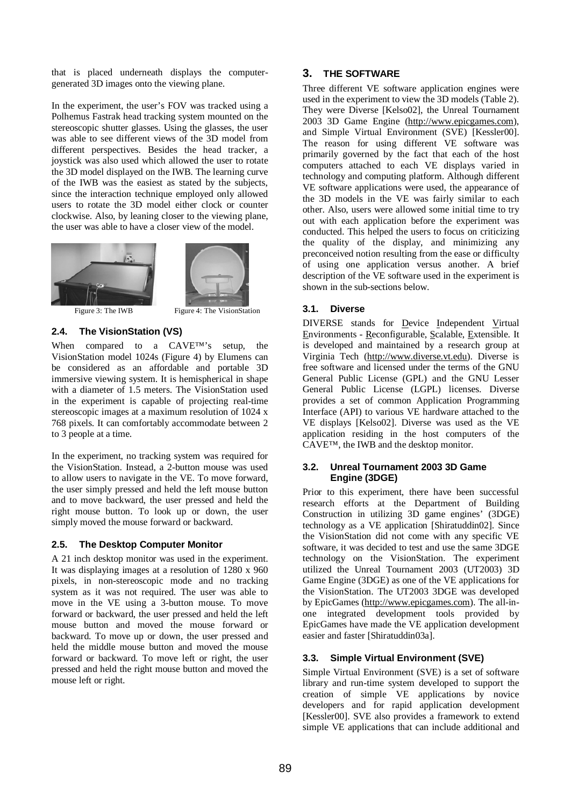that is placed underneath displays the computergenerated 3D images onto the viewing plane.

In the experiment, the user's FOV was tracked using a Polhemus Fastrak head tracking system mounted on the stereoscopic shutter glasses. Using the glasses, the user was able to see different views of the 3D model from different perspectives. Besides the head tracker, a joystick was also used which allowed the user to rotate the 3D model displayed on the IWB. The learning curve of the IWB was the easiest as stated by the subjects, since the interaction technique employed only allowed users to rotate the 3D model either clock or counter clockwise. Also, by leaning closer to the viewing plane, the user was able to have a closer view of the model.





Figure 3: The IWB Figure 4: The VisionStation

#### **2.4. The VisionStation (VS)**

When compared to a CAVE™'s setup, the VisionStation model 1024s (Figure 4) by Elumens can be considered as an affordable and portable 3D immersive viewing system. It is hemispherical in shape with a diameter of 1.5 meters. The VisionStation used in the experiment is capable of projecting real-time stereoscopic images at a maximum resolution of 1024 x 768 pixels. It can comfortably accommodate between 2 to 3 people at a time.

In the experiment, no tracking system was required for the VisionStation. Instead, a 2-button mouse was used to allow users to navigate in the VE. To move forward, the user simply pressed and held the left mouse button and to move backward, the user pressed and held the right mouse button. To look up or down, the user simply moved the mouse forward or backward.

#### **2.5. The Desktop Computer Monitor**

A 21 inch desktop monitor was used in the experiment. It was displaying images at a resolution of 1280 x 960 pixels, in non-stereoscopic mode and no tracking system as it was not required. The user was able to move in the VE using a 3-button mouse. To move forward or backward, the user pressed and held the left mouse button and moved the mouse forward or backward. To move up or down, the user pressed and held the middle mouse button and moved the mouse forward or backward. To move left or right, the user pressed and held the right mouse button and moved the mouse left or right.

### **3. THE SOFTWARE**

Three different VE software application engines were used in the experiment to view the 3D models (Table 2). They were Diverse [Kelso02], the Unreal Tournament 2003 3D Game Engine (<http://www.epicgames.com>), and Simple Virtual Environment (SVE) [Kessler00]. The reason for using different VE software was primarily governed by the fact that each of the host computers attached to each VE displays varied in technology and computing platform. Although different VE software applications were used, the appearance of the 3D models in the VE was fairly similar to each other. Also, users were allowed some initial time to try out with each application before the experiment was conducted. This helped the users to focus on criticizing the quality of the display, and minimizing any preconceived notion resulting from the ease or difficulty of using one application versus another. A brief description of the VE software used in the experiment is shown in the sub-sections below.

#### **3.1. Diverse**

DIVERSE stands for Device Independent Virtual Environments - Reconfigurable, Scalable, Extensible. It is developed and maintained by a research group at Virginia Tech [\(http://www.diverse.vt.edu\)](http://www.diverse.vt.edu). Diverse is free software and licensed under the terms of the GNU General Public License (GPL) and the GNU Lesser General Public License (LGPL) licenses. Diverse provides a set of common Application Programming Interface (API) to various VE hardware attached to the VE displays [Kelso02]. Diverse was used as the VE application residing in the host computers of the CAVE™, the IWB and the desktop monitor.

#### **3.2. Unreal Tournament 2003 3D Game Engine (3DGE)**

Prior to this experiment, there have been successful research efforts at the Department of Building Construction in utilizing 3D game engines' (3DGE) technology as a VE application [Shiratuddin02]. Since the VisionStation did not come with any specific VE software, it was decided to test and use the same 3DGE technology on the VisionStation. The experiment utilized the Unreal Tournament 2003 (UT2003) 3D Game Engine (3DGE) as one of the VE applications for the VisionStation. The UT2003 3DGE was developed by EpicGames [\(http://www.epicgames.com](http://www.epicgames.com)). The all-inone integrated development tools provided by EpicGames have made the VE application development easier and faster [Shiratuddin03a].

### **3.3. Simple Virtual Environment (SVE)**

Simple Virtual Environment (SVE) is a set of software library and run-time system developed to support the creation of simple VE applications by novice developers and for rapid application development [Kessler00]. SVE also provides a framework to extend simple VE applications that can include additional and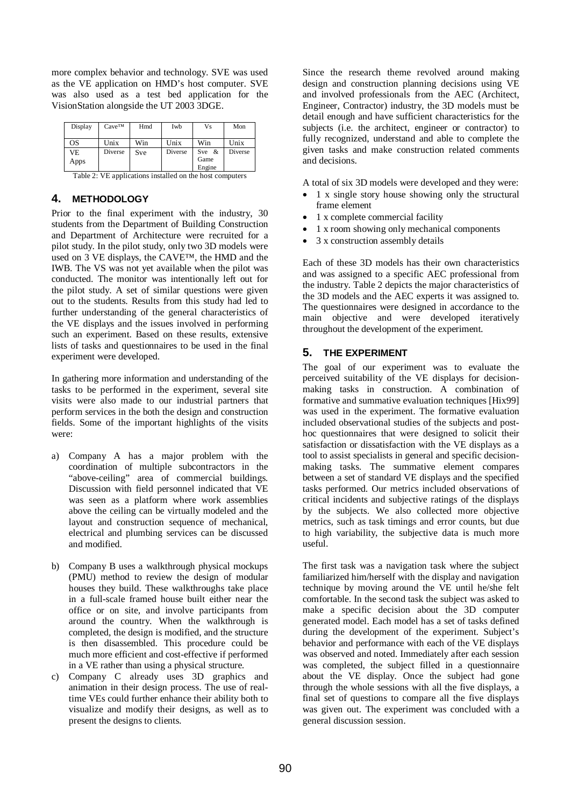more complex behavior and technology. SVE was used as the VE application on HMD's host computer. SVE was also used as a test bed application for the VisionStation alongside the UT 2003 3DGE.

| Display    | $Cave^{TM}$ | Hmd | Iwb     | Vs                         | Mon     |
|------------|-------------|-----|---------|----------------------------|---------|
| OS         | Unix        | Win | Unix    | Win                        | Unix    |
| VE<br>Apps | Diverse     | Sve | Diverse | Sve $\&$<br>Game<br>Engine | Diverse |

Table 2: VE applications installed on the host computers

#### **4. METHODOLOGY**

Prior to the final experiment with the industry, 30 students from the Department of Building Construction and Department of Architecture were recruited for a pilot study. In the pilot study, only two 3D models were used on 3 VE displays, the CAVE™, the HMD and the IWB. The VS was not yet available when the pilot was conducted. The monitor was intentionally left out for the pilot study. A set of similar questions were given out to the students. Results from this study had led to further understanding of the general characteristics of the VE displays and the issues involved in performing such an experiment. Based on these results, extensive lists of tasks and questionnaires to be used in the final experiment were developed.

In gathering more information and understanding of the tasks to be performed in the experiment, several site visits were also made to our industrial partners that perform services in the both the design and construction fields. Some of the important highlights of the visits were:

- a) Company A has a major problem with the coordination of multiple subcontractors in the "above-ceiling" area of commercial buildings. Discussion with field personnel indicated that VE was seen as a platform where work assemblies above the ceiling can be virtually modeled and the layout and construction sequence of mechanical, electrical and plumbing services can be discussed and modified.
- b) Company B uses a walkthrough physical mockups (PMU) method to review the design of modular houses they build. These walkthroughs take place in a full-scale framed house built either near the office or on site, and involve participants from around the country. When the walkthrough is completed, the design is modified, and the structure is then disassembled. This procedure could be much more efficient and cost-effective if performed in a VE rather than using a physical structure.
- c) Company C already uses 3D graphics and animation in their design process. The use of realtime VEs could further enhance their ability both to visualize and modify their designs, as well as to present the designs to clients.

Since the research theme revolved around making design and construction planning decisions using VE and involved professionals from the AEC (Architect, Engineer, Contractor) industry, the 3D models must be detail enough and have sufficient characteristics for the subjects (i.e. the architect, engineer or contractor) to fully recognized, understand and able to complete the given tasks and make construction related comments and decisions.

A total of six 3D models were developed and they were:

- 1 x single story house showing only the structural frame element
- · 1 x complete commercial facility
- · 1 x room showing only mechanical components
- · 3 x construction assembly details

Each of these 3D models has their own characteristics and was assigned to a specific AEC professional from the industry. Table 2 depicts the major characteristics of the 3D models and the AEC experts it was assigned to. The questionnaires were designed in accordance to the main objective and were developed iteratively throughout the development of the experiment.

#### **5. THE EXPERIMENT**

The goal of our experiment was to evaluate the perceived suitability of the VE displays for decisionmaking tasks in construction. A combination of formative and summative evaluation techniques [Hix99] was used in the experiment. The formative evaluation included observational studies of the subjects and posthoc questionnaires that were designed to solicit their satisfaction or dissatisfaction with the VE displays as a tool to assist specialists in general and specific decisionmaking tasks. The summative element compares between a set of standard VE displays and the specified tasks performed. Our metrics included observations of critical incidents and subjective ratings of the displays by the subjects. We also collected more objective metrics, such as task timings and error counts, but due to high variability, the subjective data is much more useful.

The first task was a navigation task where the subject familiarized him/herself with the display and navigation technique by moving around the VE until he/she felt comfortable. In the second task the subject was asked to make a specific decision about the 3D computer generated model. Each model has a set of tasks defined during the development of the experiment. Subject's behavior and performance with each of the VE displays was observed and noted. Immediately after each session was completed, the subject filled in a questionnaire about the VE display. Once the subject had gone through the whole sessions with all the five displays, a final set of questions to compare all the five displays was given out. The experiment was concluded with a general discussion session.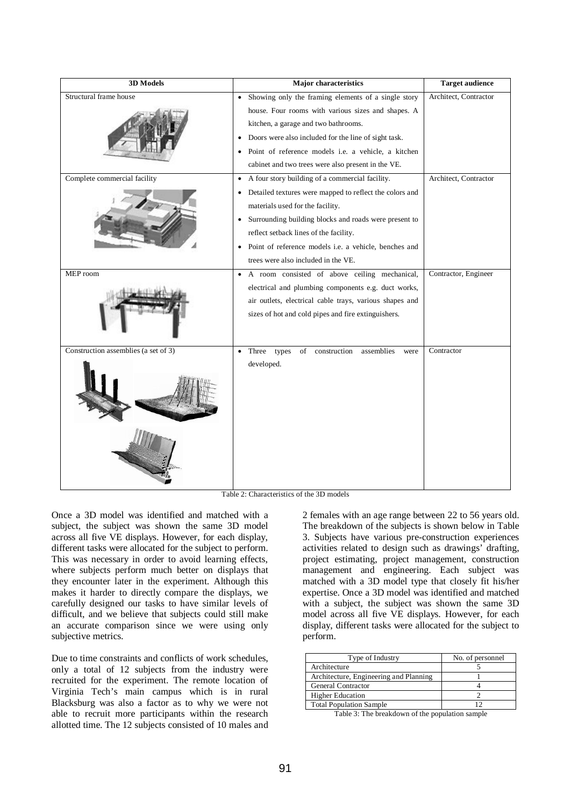| 3D Models                            | <b>Major characteristics</b>                                       | <b>Target audience</b> |
|--------------------------------------|--------------------------------------------------------------------|------------------------|
| Structural frame house               | • Showing only the framing elements of a single story              | Architect, Contractor  |
|                                      | house. Four rooms with various sizes and shapes. A                 |                        |
|                                      | kitchen, a garage and two bathrooms.                               |                        |
|                                      | Doors were also included for the line of sight task.               |                        |
|                                      | Point of reference models i.e. a vehicle, a kitchen<br>$\bullet$   |                        |
|                                      | cabinet and two trees were also present in the VE.                 |                        |
| Complete commercial facility         | A four story building of a commercial facility.<br>$\bullet$       | Architect, Contractor  |
|                                      | Detailed textures were mapped to reflect the colors and            |                        |
|                                      | materials used for the facility.                                   |                        |
|                                      | Surrounding building blocks and roads were present to<br>$\bullet$ |                        |
|                                      | reflect setback lines of the facility.                             |                        |
|                                      | Point of reference models i.e. a vehicle, benches and<br>$\bullet$ |                        |
|                                      | trees were also included in the VE.                                |                        |
| MEP room                             | A room consisted of above ceiling mechanical,<br>$\bullet$         | Contractor, Engineer   |
|                                      | electrical and plumbing components e.g. duct works,                |                        |
|                                      | air outlets, electrical cable trays, various shapes and            |                        |
|                                      | sizes of hot and cold pipes and fire extinguishers.                |                        |
|                                      |                                                                    |                        |
|                                      |                                                                    |                        |
| Construction assemblies (a set of 3) | Three types<br>of construction<br>assemblies<br>were<br>$\bullet$  | Contractor             |
|                                      | developed.                                                         |                        |
|                                      |                                                                    |                        |
|                                      |                                                                    |                        |
|                                      |                                                                    |                        |
|                                      |                                                                    |                        |
|                                      |                                                                    |                        |
|                                      |                                                                    |                        |

Table 2: Characteristics of the 3D models

Once a 3D model was identified and matched with a subject, the subject was shown the same 3D model across all five VE displays. However, for each display, different tasks were allocated for the subject to perform. This was necessary in order to avoid learning effects, where subjects perform much better on displays that they encounter later in the experiment. Although this makes it harder to directly compare the displays, we carefully designed our tasks to have similar levels of difficult, and we believe that subjects could still make an accurate comparison since we were using only subjective metrics.

Due to time constraints and conflicts of work schedules, only a total of 12 subjects from the industry were recruited for the experiment. The remote location of Virginia Tech's main campus which is in rural Blacksburg was also a factor as to why we were not able to recruit more participants within the research allotted time. The 12 subjects consisted of 10 males and

2 females with an age range between 22 to 56 years old. The breakdown of the subjects is shown below in Table 3. Subjects have various pre-construction experiences activities related to design such as drawings' drafting, project estimating, project management, construction management and engineering. Each subject was matched with a 3D model type that closely fit his/her expertise. Once a 3D model was identified and matched with a subject, the subject was shown the same 3D model across all five VE displays. However, for each display, different tasks were allocated for the subject to perform.

| Type of Industry                       | No. of personnel |
|----------------------------------------|------------------|
| Architecture                           |                  |
| Architecture, Engineering and Planning |                  |
| General Contractor                     |                  |
| <b>Higher Education</b>                |                  |
| <b>Total Population Sample</b>         |                  |

Table 3: The breakdown of the population sample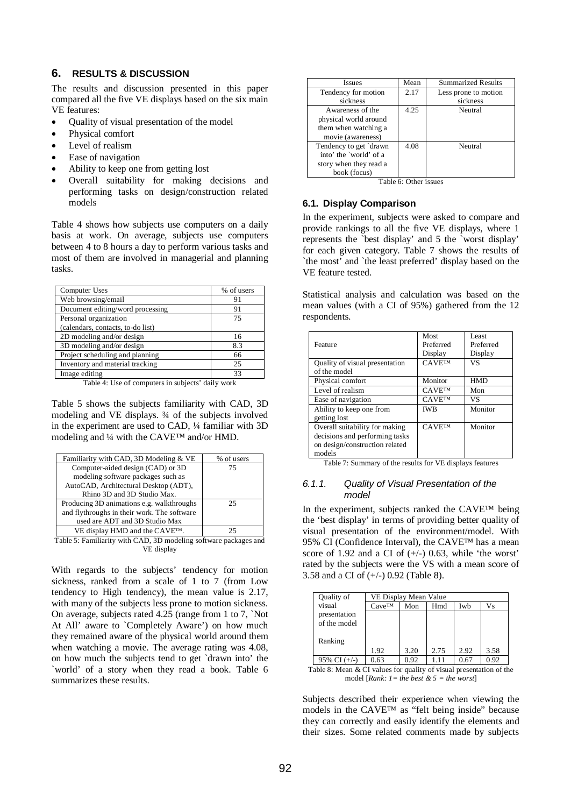#### **6. RESULTS & DISCUSSION**

The results and discussion presented in this paper compared all the five VE displays based on the six main VE features:

- · Quality of visual presentation of the model
- Physical comfort
- Level of realism
- Ease of navigation
- · Ability to keep one from getting lost
- Overall suitability for making decisions and performing tasks on design/construction related models

Table 4 shows how subjects use computers on a daily basis at work. On average, subjects use computers between 4 to 8 hours a day to perform various tasks and most of them are involved in managerial and planning tasks.

| Computer Uses                     | % of users |
|-----------------------------------|------------|
| Web browsing/email                | 91         |
| Document editing/word processing  | 91         |
| Personal organization             | 75         |
| (calendars, contacts, to-do list) |            |
| 2D modeling and/or design         | 16         |
| 3D modeling and/or design         | 8.3        |
| Project scheduling and planning   | 66         |
| Inventory and material tracking   | 25         |
| Image editing                     | 33         |
|                                   |            |

Table 4: Use of computers in subjects' daily work

Table 5 shows the subjects familiarity with CAD, 3D modeling and VE displays. ¾ of the subjects involved in the experiment are used to CAD, ¼ familiar with 3D modeling and ¼ with the CAVE™ and/or HMD.

| Familiarity with CAD, 3D Modeling & VE                           | % of users |  |  |  |
|------------------------------------------------------------------|------------|--|--|--|
| Computer-aided design (CAD) or 3D                                | 75         |  |  |  |
| modeling software packages such as                               |            |  |  |  |
| AutoCAD, Architectural Desktop (ADT),                            |            |  |  |  |
| Rhino 3D and 3D Studio Max.                                      |            |  |  |  |
| Producing 3D animations e.g. walkthroughs                        | 25         |  |  |  |
| and flythroughs in their work. The software                      |            |  |  |  |
| used are ADT and 3D Studio Max                                   |            |  |  |  |
| VE display HMD and the CAVE™.                                    | 25         |  |  |  |
| Table 5: Familiarity with CAD, 3D modeling software packages and |            |  |  |  |

VE display

With regards to the subjects' tendency for motion sickness, ranked from a scale of 1 to 7 (from Low tendency to High tendency), the mean value is 2.17, with many of the subjects less prone to motion sickness. On average, subjects rated 4.25 (range from 1 to 7, `Not At All' aware to `Completely Aware') on how much they remained aware of the physical world around them when watching a movie. The average rating was 4.08, on how much the subjects tend to get `drawn into' the `world' of a story when they read a book. Table 6 summarizes these results.

| <b>Issues</b>          | Mean                  | <b>Summarized Results</b> |
|------------------------|-----------------------|---------------------------|
| Tendency for motion    | 2.17                  | Less prone to motion      |
| sickness               |                       | sickness                  |
| Awareness of the       | 4.25                  | Neutral                   |
| physical world around  |                       |                           |
| them when watching a   |                       |                           |
| movie (awareness)      |                       |                           |
| Tendency to get `drawn | 4.08                  | Neutral                   |
| into' the `world' of a |                       |                           |
| story when they read a |                       |                           |
| book (focus)           |                       |                           |
|                        | Table 6: Other issues |                           |

#### **6.1. Display Comparison**

In the experiment, subjects were asked to compare and provide rankings to all the five VE displays, where 1 represents the `best display' and 5 the `worst display' for each given category. Table 7 shows the results of `the most' and `the least preferred' display based on the VE feature tested.

Statistical analysis and calculation was based on the mean values (with a CI of 95%) gathered from the 12 respondents.

| Feature                                                                                                      | Most<br>Preferred<br>Display | Least<br>Preferred<br>Display |
|--------------------------------------------------------------------------------------------------------------|------------------------------|-------------------------------|
| Quality of visual presentation<br>of the model                                                               | <b>CAVETM</b>                | VS                            |
| Physical comfort                                                                                             | Monitor                      | <b>HMD</b>                    |
| Level of realism                                                                                             | <b>CAVETM</b>                | Mon                           |
| Ease of navigation                                                                                           | <b>CAVETM</b>                | VS                            |
| Ability to keep one from<br>getting lost                                                                     | <b>IWB</b>                   | Monitor                       |
| Overall suitability for making<br>decisions and performing tasks<br>on design/construction related<br>models | <b>CAVETM</b>                | Monitor                       |

Table 7: Summary of the results for VE displays features

#### *6.1.1. Quality of Visual Presentation of the model*

In the experiment, subjects ranked the CAVE™ being the 'best display' in terms of providing better quality of visual presentation of the environment/model. With 95% CI (Confidence Interval), the CAVE™ has a mean score of 1.92 and a CI of  $(+/-)$  0.63, while 'the worst' rated by the subjects were the VS with a mean score of 3.58 and a CI of (+/-) 0.92 (Table 8).

| Quality of                                                          | VE Display Mean Value                          |      |      |      |      |  |  |
|---------------------------------------------------------------------|------------------------------------------------|------|------|------|------|--|--|
| visual                                                              | $Cave^{TM}$                                    | Mon  | Hmd  | Iwb  | Vs   |  |  |
| presentation                                                        |                                                |      |      |      |      |  |  |
| of the model                                                        |                                                |      |      |      |      |  |  |
|                                                                     |                                                |      |      |      |      |  |  |
| Ranking                                                             |                                                |      |      |      |      |  |  |
|                                                                     | 1.92                                           | 3.20 | 2.75 | 2.92 | 3.58 |  |  |
| 95% CI $(+/-)$                                                      | 0.63                                           | 0.92 | 1.11 | 0.67 | 0.92 |  |  |
| Table 8: Mean & CI values for quality of visual presentation of the |                                                |      |      |      |      |  |  |
|                                                                     | model [Rank: $l = the best \& 5 = the worst$ ] |      |      |      |      |  |  |

Subjects described their experience when viewing the models in the CAVE™ as "felt being inside" because they can correctly and easily identify the elements and their sizes. Some related comments made by subjects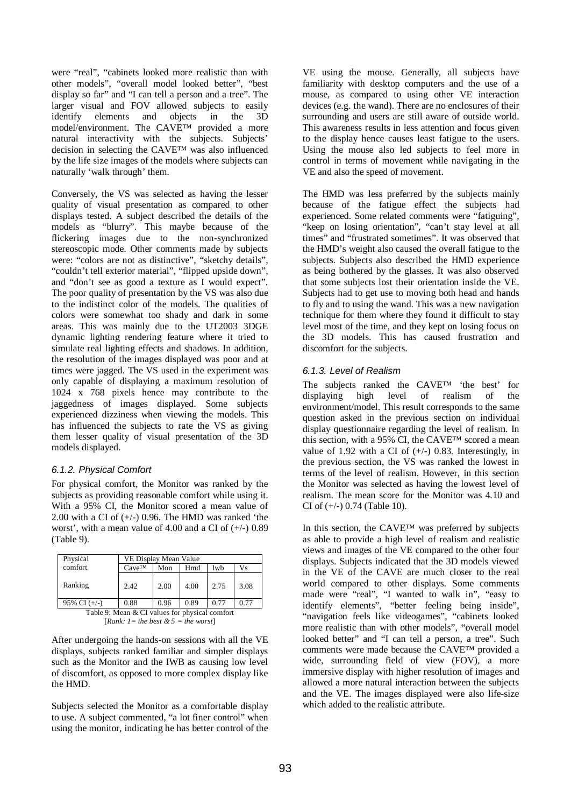were "real", "cabinets looked more realistic than with other models", "overall model looked better", "best display so far" and "I can tell a person and a tree". The larger visual and FOV allowed subjects to easily identify elements and objects in the 3D model/environment. The CAVE™ provided a more natural interactivity with the subjects. Subjects' decision in selecting the CAVE™ was also influenced by the life size images of the models where subjects can naturally 'walk through' them.

Conversely, the VS was selected as having the lesser quality of visual presentation as compared to other displays tested. A subject described the details of the models as "blurry". This maybe because of the flickering images due to the non-synchronized stereoscopic mode. Other comments made by subjects were: "colors are not as distinctive", "sketchy details", "couldn't tell exterior material", "flipped upside down", and "don't see as good a texture as I would expect". The poor quality of presentation by the VS was also due to the indistinct color of the models. The qualities of colors were somewhat too shady and dark in some areas. This was mainly due to the UT2003 3DGE dynamic lighting rendering feature where it tried to simulate real lighting effects and shadows. In addition, the resolution of the images displayed was poor and at times were jagged. The VS used in the experiment was only capable of displaying a maximum resolution of 1024 x 768 pixels hence may contribute to the jaggedness of images displayed. Some subjects experienced dizziness when viewing the models. This has influenced the subjects to rate the VS as giving them lesser quality of visual presentation of the 3D models displayed.

#### *6.1.2. Physical Comfort*

For physical comfort, the Monitor was ranked by the subjects as providing reasonable comfort while using it. With a 95% CI, the Monitor scored a mean value of 2.00 with a CI of  $(+/-)$  0.96. The HMD was ranked 'the worst', with a mean value of 4.00 and a CI of  $(+/-)$  0.89 (Table 9).

| Physical                                       | VE Display Mean Value |      |      |      |      |
|------------------------------------------------|-----------------------|------|------|------|------|
| comfort                                        | Cave <sup>™</sup>     | Mon  | Hmd  | Iwb  | Vs   |
| Ranking                                        | 2.42                  | 2.00 | 4.00 | 2.75 | 3.08 |
| 95% CI $(+/-)$                                 | 0.88                  | 0.96 | 0.89 | 0.77 | 0.77 |
| Table 9: Mean & CI values for physical comfort |                       |      |      |      |      |

 $[Rank: I = the best & 5 = the worst]$ 

After undergoing the hands-on sessions with all the VE displays, subjects ranked familiar and simpler displays such as the Monitor and the IWB as causing low level of discomfort, as opposed to more complex display like the HMD.

Subjects selected the Monitor as a comfortable display to use. A subject commented, "a lot finer control" when using the monitor, indicating he has better control of the VE using the mouse. Generally, all subjects have familiarity with desktop computers and the use of a mouse, as compared to using other VE interaction devices (e.g. the wand). There are no enclosures of their surrounding and users are still aware of outside world. This awareness results in less attention and focus given to the display hence causes least fatigue to the users. Using the mouse also led subjects to feel more in control in terms of movement while navigating in the VE and also the speed of movement.

The HMD was less preferred by the subjects mainly because of the fatigue effect the subjects had experienced. Some related comments were "fatiguing", "keep on losing orientation", "can't stay level at all times" and "frustrated sometimes". It was observed that the HMD's weight also caused the overall fatigue to the subjects. Subjects also described the HMD experience as being bothered by the glasses. It was also observed that some subjects lost their orientation inside the VE. Subjects had to get use to moving both head and hands to fly and to using the wand. This was a new navigation technique for them where they found it difficult to stay level most of the time, and they kept on losing focus on the 3D models. This has caused frustration and discomfort for the subjects.

#### *6.1.3. Level of Realism*

The subjects ranked the CAVE™ 'the best' for displaying high level of realism of the environment/model. This result corresponds to the same question asked in the previous section on individual display questionnaire regarding the level of realism. In this section, with a 95% CI, the CAVE™ scored a mean value of 1.92 with a CI of  $(+/-)$  0.83. Interestingly, in the previous section, the VS was ranked the lowest in terms of the level of realism. However, in this section the Monitor was selected as having the lowest level of realism. The mean score for the Monitor was 4.10 and CI of  $(+/-)$  0.74 (Table 10).

In this section, the CAVE™ was preferred by subjects as able to provide a high level of realism and realistic views and images of the VE compared to the other four displays. Subjects indicated that the 3D models viewed in the VE of the CAVE are much closer to the real world compared to other displays. Some comments made were "real", "I wanted to walk in", "easy to identify elements", "better feeling being inside", "navigation feels like videogames", "cabinets looked more realistic than with other models", "overall model looked better" and "I can tell a person, a tree". Such comments were made because the CAVE™ provided a wide, surrounding field of view (FOV), a more immersive display with higher resolution of images and allowed a more natural interaction between the subjects and the VE. The images displayed were also life-size which added to the realistic attribute.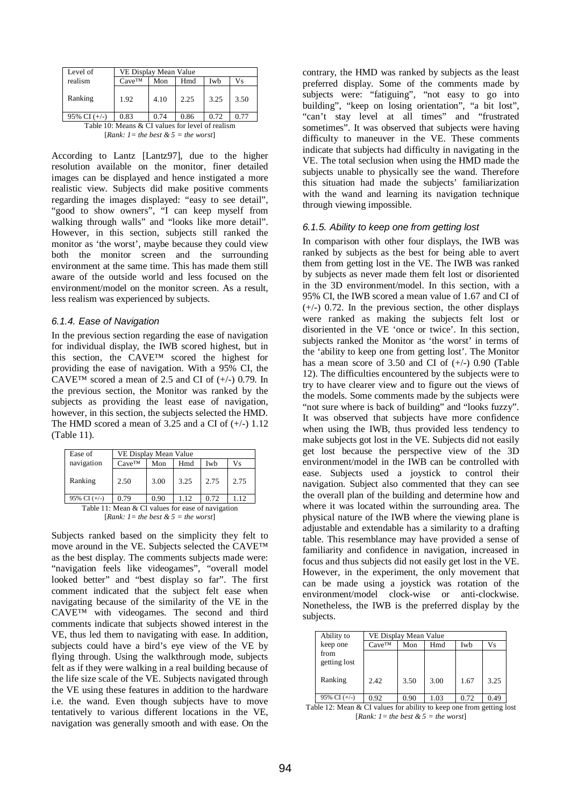| Level of       | VE Display Mean Value |      |      |      |      |  |
|----------------|-----------------------|------|------|------|------|--|
| realism        | $Cave^{TM}$           | Mon  | Hmd  | Iwh  | Vs   |  |
| Ranking        | 1.92                  | 4.10 | 2.25 | 3.25 | 3.50 |  |
| 95% CI $(+/-)$ | 0.83                  | 0.74 | 0.86 | 0.72 | በ 77 |  |

Table 10: Means & CI values for level of realism [*Rank: 1 = the best & 5 = the worst*]

According to Lantz [Lantz97], due to the higher resolution available on the monitor, finer detailed images can be displayed and hence instigated a more realistic view. Subjects did make positive comments regarding the images displayed: "easy to see detail", "good to show owners", "I can keep myself from walking through walls" and "looks like more detail". However, in this section, subjects still ranked the monitor as 'the worst', maybe because they could view both the monitor screen and the surrounding environment at the same time. This has made them still aware of the outside world and less focused on the environment/model on the monitor screen. As a result, less realism was experienced by subjects.

#### *6.1.4. Ease of Navigation*

In the previous section regarding the ease of navigation for individual display, the IWB scored highest, but in this section, the CAVE™ scored the highest for providing the ease of navigation. With a 95% CI, the CAVE<sup>™</sup> scored a mean of 2.5 and CI of  $(+/-)$  0.79. In the previous section, the Monitor was ranked by the subjects as providing the least ease of navigation, however, in this section, the subjects selected the HMD. The HMD scored a mean of 3.25 and a CI of  $(+/-)$  1.12 (Table 11).

| Ease of                                           | VE Display Mean Value |      |      |      |      |  |
|---------------------------------------------------|-----------------------|------|------|------|------|--|
| navigation                                        | $Cave^{TM}$           | Mon  | Hmd  | Iwb  | Vs   |  |
| Ranking                                           | 2.50                  | 3.00 | 3.25 | 2.75 | 2.75 |  |
| 95% CI $(+/-)$                                    | 0.79                  | 0.90 | 1.12 | 0.72 | 1.12 |  |
| Table 11: Mean & CI values for ease of navigation |                       |      |      |      |      |  |
| $[Rank: 1 = the best \& 5 = the worst]$           |                       |      |      |      |      |  |

Subjects ranked based on the simplicity they felt to move around in the VE. Subjects selected the CAVE™ as the best display. The comments subjects made were: "navigation feels like videogames", "overall model looked better" and "best display so far". The first comment indicated that the subject felt ease when navigating because of the similarity of the VE in the CAVE™ with videogames. The second and third comments indicate that subjects showed interest in the VE, thus led them to navigating with ease. In addition, subjects could have a bird's eye view of the VE by flying through. Using the walkthrough mode, subjects felt as if they were walking in a real building because of the life size scale of the VE. Subjects navigated through the VE using these features in addition to the hardware i.e. the wand. Even though subjects have to move tentatively to various different locations in the VE, navigation was generally smooth and with ease. On the contrary, the HMD was ranked by subjects as the least preferred display. Some of the comments made by subjects were: "fatiguing", "not easy to go into building", "keep on losing orientation", "a bit lost", "can't stay level at all times" and "frustrated sometimes". It was observed that subjects were having difficulty to maneuver in the VE. These comments indicate that subjects had difficulty in navigating in the VE. The total seclusion when using the HMD made the subjects unable to physically see the wand. Therefore this situation had made the subjects' familiarization with the wand and learning its navigation technique through viewing impossible.

#### *6.1.5. Ability to keep one from getting lost*

In comparison with other four displays, the IWB was ranked by subjects as the best for being able to avert them from getting lost in the VE. The IWB was ranked by subjects as never made them felt lost or disoriented in the 3D environment/model. In this section, with a 95% CI, the IWB scored a mean value of 1.67 and CI of  $(+/-)$  0.72. In the previous section, the other displays were ranked as making the subjects felt lost or disoriented in the VE 'once or twice'. In this section, subjects ranked the Monitor as 'the worst' in terms of the 'ability to keep one from getting lost'. The Monitor has a mean score of  $3.50$  and CI of  $(+/-)$  0.90 (Table 12). The difficulties encountered by the subjects were to try to have clearer view and to figure out the views of the models. Some comments made by the subjects were "not sure where is back of building" and "looks fuzzy". It was observed that subjects have more confidence when using the IWB, thus provided less tendency to make subjects got lost in the VE. Subjects did not easily get lost because the perspective view of the 3D environment/model in the IWB can be controlled with ease. Subjects used a joystick to control their navigation. Subject also commented that they can see the overall plan of the building and determine how and where it was located within the surrounding area. The physical nature of the IWB where the viewing plane is adjustable and extendable has a similarity to a drafting table. This resemblance may have provided a sense of familiarity and confidence in navigation, increased in focus and thus subjects did not easily get lost in the VE. However, in the experiment, the only movement that can be made using a joystick was rotation of the environment/model clock-wise or anti-clockwise. Nonetheless, the IWB is the preferred display by the subjects.

| Ability to           | VE Display Mean Value |      |      |      |      |
|----------------------|-----------------------|------|------|------|------|
| keep one             | $Cave^{TM}$           | Mon  | Hmd  | Iwb  | Vs   |
| from<br>getting lost |                       |      |      |      |      |
| Ranking              | 2.42                  | 3.50 | 3.00 | 1.67 | 3.25 |
| 95% CI $(+/-)$       | 0.92                  | 0.90 | 1.03 | 0.72 | 0.49 |

Table 12: Mean & CI values for ability to keep one from getting lost  $[Rank: I = the best \& S = the worst]$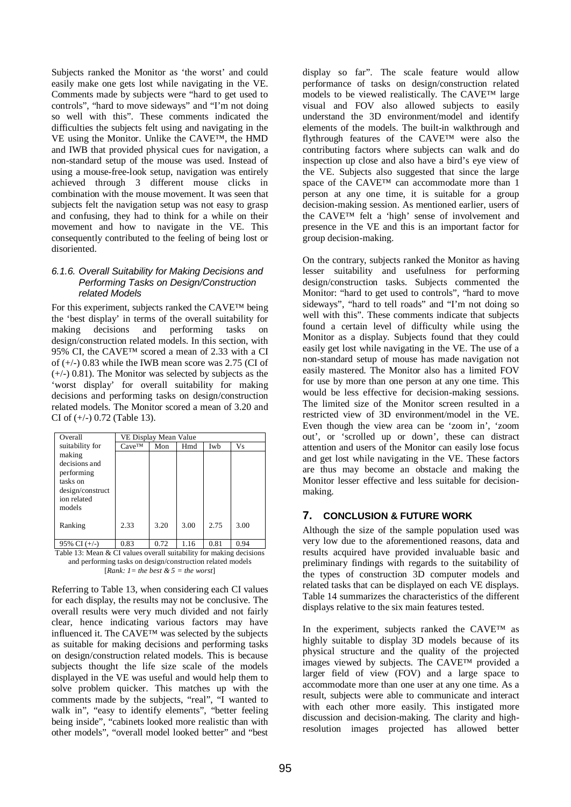Subjects ranked the Monitor as 'the worst' and could easily make one gets lost while navigating in the VE. Comments made by subjects were "hard to get used to controls", "hard to move sideways" and "I'm not doing so well with this". These comments indicated the difficulties the subjects felt using and navigating in the VE using the Monitor. Unlike the CAVE™, the HMD and IWB that provided physical cues for navigation, a non-standard setup of the mouse was used. Instead of using a mouse-free-look setup, navigation was entirely achieved through 3 different mouse clicks in combination with the mouse movement. It was seen that subjects felt the navigation setup was not easy to grasp and confusing, they had to think for a while on their movement and how to navigate in the VE. This consequently contributed to the feeling of being lost or disoriented.

#### *6.1.6. Overall Suitability for Making Decisions and Performing Tasks on Design/Construction related Models*

For this experiment, subjects ranked the CAVE™ being the 'best display' in terms of the overall suitability for making decisions and performing tasks on design/construction related models. In this section, with 95% CI, the CAVE<sup>™</sup> scored a mean of 2.33 with a CI of  $(+/-)$  0.83 while the IWB mean score was 2.75 (CI of  $(+/-)$  0.81). The Monitor was selected by subjects as the 'worst display' for overall suitability for making decisions and performing tasks on design/construction related models. The Monitor scored a mean of 3.20 and CI of  $(+/-)$  0.72 (Table 13).

| Overall          | VE Display Mean Value |      |      |      |      |
|------------------|-----------------------|------|------|------|------|
| suitability for  | $Cave^{TM}$           | Mon  | Hmd  | Iwb  | Vs   |
| making           |                       |      |      |      |      |
| decisions and    |                       |      |      |      |      |
| performing       |                       |      |      |      |      |
| tasks on         |                       |      |      |      |      |
| design/construct |                       |      |      |      |      |
| ion related      |                       |      |      |      |      |
| models           |                       |      |      |      |      |
|                  |                       |      |      |      |      |
| Ranking          | 2.33                  | 3.20 | 3.00 | 2.75 | 3.00 |
|                  |                       |      |      |      |      |
| 95% CI $(+/-)$   | 0.83                  | 0.72 | 1.16 | 0.81 | 0.94 |

Table 13: Mean & CI values overall suitability for making decisions and performing tasks on design/construction related models [*Rank: 1 = the best*  $\& 5$  *= the worst*]

Referring to Table 13, when considering each CI values for each display, the results may not be conclusive. The overall results were very much divided and not fairly clear, hence indicating various factors may have influenced it. The CAVE™ was selected by the subjects as suitable for making decisions and performing tasks on design/construction related models. This is because subjects thought the life size scale of the models displayed in the VE was useful and would help them to solve problem quicker. This matches up with the comments made by the subjects, "real", "I wanted to walk in", "easy to identify elements", "better feeling being inside", "cabinets looked more realistic than with other models", "overall model looked better" and "best

display so far". The scale feature would allow performance of tasks on design/construction related models to be viewed realistically. The CAVE™ large visual and FOV also allowed subjects to easily understand the 3D environment/model and identify elements of the models. The built-in walkthrough and flythrough features of the CAVE™ were also the contributing factors where subjects can walk and do inspection up close and also have a bird's eye view of the VE. Subjects also suggested that since the large space of the CAVE™ can accommodate more than 1 person at any one time, it is suitable for a group decision-making session. As mentioned earlier, users of the CAVE™ felt a 'high' sense of involvement and presence in the VE and this is an important factor for group decision-making.

On the contrary, subjects ranked the Monitor as having lesser suitability and usefulness for performing design/construction tasks. Subjects commented the Monitor: "hard to get used to controls", "hard to move sideways", "hard to tell roads" and "I'm not doing so well with this". These comments indicate that subjects found a certain level of difficulty while using the Monitor as a display. Subjects found that they could easily get lost while navigating in the VE. The use of a non-standard setup of mouse has made navigation not easily mastered. The Monitor also has a limited FOV for use by more than one person at any one time. This would be less effective for decision-making sessions. The limited size of the Monitor screen resulted in a restricted view of 3D environment/model in the VE. Even though the view area can be 'zoom in', 'zoom out', or 'scrolled up or down', these can distract attention and users of the Monitor can easily lose focus and get lost while navigating in the VE. These factors are thus may become an obstacle and making the Monitor lesser effective and less suitable for decisionmaking.

# **7. CONCLUSION & FUTURE WORK**

Although the size of the sample population used was very low due to the aforementioned reasons, data and results acquired have provided invaluable basic and preliminary findings with regards to the suitability of the types of construction 3D computer models and related tasks that can be displayed on each VE displays. Table 14 summarizes the characteristics of the different displays relative to the six main features tested.

In the experiment, subjects ranked the CAVE™ as highly suitable to display 3D models because of its physical structure and the quality of the projected images viewed by subjects. The CAVE™ provided a larger field of view (FOV) and a large space to accommodate more than one user at any one time. As a result, subjects were able to communicate and interact with each other more easily. This instigated more discussion and decision-making. The clarity and highresolution images projected has allowed better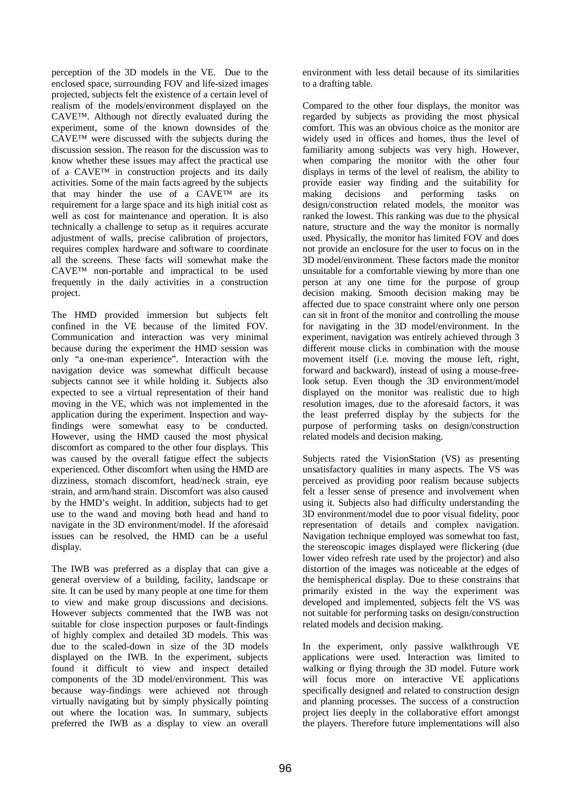perception of the 3D models in the VE. Due to the enclosed space, surrounding FOV and life-sized images projected, subjects felt the existence of a certain level of realism of the models/environment displayed on the CAVE™. Although not directly evaluated during the experiment, some of the known downsides of the CAVE™ were discussed with the subjects during the discussion session. The reason for the discussion was to know whether these issues may affect the practical use of a CAVE™ in construction projects and its daily activities. Some of the main facts agreed by the subjects that may hinder the use of a CAVE™ are its requirement for a large space and its high initial cost as well as cost for maintenance and operation. It is also technically a challenge to setup as it requires accurate adjustment of walls, precise calibration of projectors, requires complex hardware and software to coordinate all the screens. These facts will somewhat make the CAVE™ non-portable and impractical to be used frequently in the daily activities in a construction project.

The HMD provided immersion but subjects felt confined in the VE because of the limited FOV. Communication and interaction was very minimal because during the experiment the HMD session was only "a one-man experience". Interaction with the navigation device was somewhat difficult because subjects cannot see it while holding it. Subjects also expected to see a virtual representation of their hand moving in the VE, which was not implemented in the application during the experiment. Inspection and wayfindings were somewhat easy to be conducted. However, using the HMD caused the most physical discomfort as compared to the other four displays. This was caused by the overall fatigue effect the subjects experienced. Other discomfort when using the HMD are dizziness, stomach discomfort, head/neck strain, eye strain, and arm/hand strain. Discomfort was also caused by the HMD's weight. In addition, subjects had to get use to the wand and moving both head and hand to navigate in the 3D environment/model. If the aforesaid issues can be resolved, the HMD can be a useful display.

The IWB was preferred as a display that can give a general overview of a building, facility, landscape or site. It can be used by many people at one time for them to view and make group discussions and decisions. However subjects commented that the IWB was not suitable for close inspection purposes or fault-findings of highly complex and detailed 3D models. This was due to the scaled-down in size of the 3D models displayed on the IWB. In the experiment, subjects found it difficult to view and inspect detailed components of the 3D model/environment. This was because way-findings were achieved not through virtually navigating but by simply physically pointing out where the location was. In summary, subjects preferred the IWB as a display to view an overall environment with less detail because of its similarities to a drafting table.

Compared to the other four displays, the monitor was regarded by subjects as providing the most physical comfort. This was an obvious choice as the monitor are widely used in offices and homes, thus the level of familiarity among subjects was very high. However, when comparing the monitor with the other four displays in terms of the level of realism, the ability to provide easier way finding and the suitability for making decisions and performing tasks on design/construction related models, the monitor was ranked the lowest. This ranking was due to the physical nature, structure and the way the monitor is normally used. Physically, the monitor has limited FOV and does not provide an enclosure for the user to focus on in the 3D model/environment. These factors made the monitor unsuitable for a comfortable viewing by more than one person at any one time for the purpose of group decision making. Smooth decision making may be affected due to space constraint where only one person can sit in front of the monitor and controlling the mouse for navigating in the 3D model/environment. In the experiment, navigation was entirely achieved through 3 different mouse clicks in combination with the mouse movement itself (i.e. moving the mouse left, right, forward and backward), instead of using a mouse-freelook setup. Even though the 3D environment/model displayed on the monitor was realistic due to high resolution images, due to the aforesaid factors, it was the least preferred display by the subjects for the purpose of performing tasks on design/construction related models and decision making.

Subjects rated the VisionStation (VS) as presenting unsatisfactory qualities in many aspects. The VS was perceived as providing poor realism because subjects felt a lesser sense of presence and involvement when using it. Subjects also had difficulty understanding the 3D environment/model due to poor visual fidelity, poor representation of details and complex navigation. Navigation technique employed was somewhat too fast, the stereoscopic images displayed were flickering (due lower video refresh rate used by the projector) and also distortion of the images was noticeable at the edges of the hemispherical display. Due to these constrains that primarily existed in the way the experiment was developed and implemented, subjects felt the VS was not suitable for performing tasks on design/construction related models and decision making.

In the experiment, only passive walkthrough VE applications were used. Interaction was limited to walking or flying through the 3D model. Future work will focus more on interactive VE applications specifically designed and related to construction design and planning processes. The success of a construction project lies deeply in the collaborative effort amongst the players. Therefore future implementations will also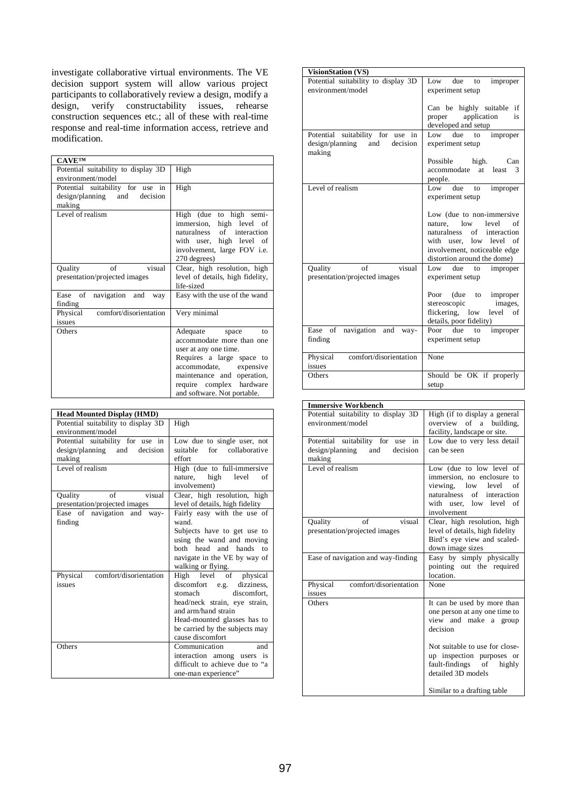investigate collaborative virtual environments. The VE decision support system will allow various project participants to collaboratively review a design, modify a design, verify constructability issues, rehearse construction sequences etc.; all of these with real-time response and real-time information access, retrieve and modification.

| <b>CAVETM</b>                                                                 |                                                                                                                                                                                                                            |  |  |
|-------------------------------------------------------------------------------|----------------------------------------------------------------------------------------------------------------------------------------------------------------------------------------------------------------------------|--|--|
| Potential suitability to display 3D                                           | High                                                                                                                                                                                                                       |  |  |
| environment/model                                                             |                                                                                                                                                                                                                            |  |  |
| Potential suitability for use in<br>design/planning and<br>decision<br>making | High                                                                                                                                                                                                                       |  |  |
| Level of realism                                                              | High (due to high semi-<br>immersion, high level of<br>naturalness of interaction<br>with user, high level of<br>involvement, large FOV i.e.<br>270 degrees)                                                               |  |  |
| $\alpha$ f<br>visual<br>Quality<br>presentation/projected images              | Clear, high resolution, high<br>level of details, high fidelity,<br>life-sized                                                                                                                                             |  |  |
| Ease of<br>navigation and<br>way<br>finding                                   | Easy with the use of the wand                                                                                                                                                                                              |  |  |
| comfort/disorientation<br>Physical<br>issues                                  | Very minimal                                                                                                                                                                                                               |  |  |
| Others                                                                        | Adequate space<br>to<br>accommodate more than one<br>user at any one time.<br>Requires a large space to<br>accommodate, expensive<br>maintenance and operation,<br>require complex hardware<br>and software. Not portable. |  |  |

| <b>Head Mounted Display (HMD)</b>   |                                 |  |  |
|-------------------------------------|---------------------------------|--|--|
| Potential suitability to display 3D | High                            |  |  |
| environment/model                   |                                 |  |  |
| Potential suitability for use in    | Low due to single user, not     |  |  |
| design/planning and decision        | suitable for collaborative      |  |  |
| making                              | effort                          |  |  |
| Level of realism                    | High (due to full-immersive     |  |  |
|                                     | nature, high level<br>of        |  |  |
|                                     | involvement)                    |  |  |
| of<br>visual<br>Quality             | Clear, high resolution, high    |  |  |
| presentation/projected images       | level of details, high fidelity |  |  |
| Ease of navigation and way-         | Fairly easy with the use of     |  |  |
| finding                             | wand.                           |  |  |
|                                     | Subjects have to get use to     |  |  |
|                                     | using the wand and moving       |  |  |
|                                     | both head and hands to          |  |  |
|                                     | navigate in the VE by way of    |  |  |
|                                     | walking or flying.              |  |  |
| comfort/disorientation<br>Physical  | High level of physical          |  |  |
| issues                              | discomfort e.g. dizziness,      |  |  |
|                                     | stomach<br>discomfort.          |  |  |
|                                     | head/neck strain, eye strain,   |  |  |
|                                     | and arm/hand strain             |  |  |
|                                     | Head-mounted glasses has to     |  |  |
|                                     | be carried by the subjects may  |  |  |
|                                     | cause discomfort                |  |  |
| Others                              | Communication<br>and            |  |  |
|                                     | interaction among users is      |  |  |
|                                     | difficult to achieve due to "a  |  |  |
|                                     | one-man experience"             |  |  |
|                                     |                                 |  |  |

| <b>VisionStation (VS)</b>                                                     |                                                                                                                                                                                    |
|-------------------------------------------------------------------------------|------------------------------------------------------------------------------------------------------------------------------------------------------------------------------------|
| Potential suitability to display 3D<br>environment/model                      | Low due to<br>improper<br>experiment setup                                                                                                                                         |
|                                                                               | Can be highly suitable if<br>proper application<br>is<br>developed and setup                                                                                                       |
| Potential suitability for use in<br>design/planning and<br>decision<br>making | to improper<br>due<br>Low<br>experiment setup                                                                                                                                      |
|                                                                               | Possible high. Can<br>at least<br>accommodate<br>3<br>people.                                                                                                                      |
| Level of realism                                                              | Low due to<br>improper<br>experiment setup                                                                                                                                         |
|                                                                               | Low (due to non-immersive<br>nature. low<br>level<br>of<br>naturalness<br>of interaction<br>with user, low level of<br>involvement, noticeable edge<br>distortion around the dome) |
| of<br>visual<br>Quality<br>presentation/projected images                      | Low due to improper<br>experiment setup                                                                                                                                            |
|                                                                               | Poor (due to improper<br>images,<br>stereoscopic<br>flickering, low level of<br>details, poor fidelity)                                                                            |
| navigation and way-<br>Ease of<br>finding                                     | Poor due<br>improper<br>to<br>experiment setup                                                                                                                                     |
| comfort/disorientation<br>Physical<br>issues                                  | None                                                                                                                                                                               |
| Others                                                                        | Should be OK if properly<br>setup                                                                                                                                                  |

| <b>Immersive Workbench</b>          |                                   |  |  |
|-------------------------------------|-----------------------------------|--|--|
| Potential suitability to display 3D | High (if to display a general     |  |  |
| environment/model                   | overview<br>of<br>building,<br>a. |  |  |
|                                     | facility, landscape or site.      |  |  |
| Potential suitability for use in    | Low due to very less detail       |  |  |
| design/planning<br>and<br>decision  | can be seen                       |  |  |
| making                              |                                   |  |  |
| Level of realism                    | Low (due to low level of          |  |  |
|                                     | immersion, no enclosure to        |  |  |
|                                     | viewing, low level<br>of          |  |  |
|                                     | naturalness<br>of<br>interaction  |  |  |
|                                     | with user, low level<br>of        |  |  |
|                                     | involvement                       |  |  |
| visual<br>of<br>Quality             | Clear, high resolution, high      |  |  |
| presentation/projected images       | level of details, high fidelity   |  |  |
|                                     | Bird's eye view and scaled-       |  |  |
|                                     | down image sizes                  |  |  |
| Ease of navigation and way-finding  | Easy by simply physically         |  |  |
|                                     | pointing out the required         |  |  |
|                                     | location.                         |  |  |
| comfort/disorientation<br>Physical  | None                              |  |  |
| issues                              |                                   |  |  |
| Others                              | It can be used by more than       |  |  |
|                                     | one person at any one time to     |  |  |
|                                     | view and make a group             |  |  |
|                                     | decision                          |  |  |
|                                     | Not suitable to use for close-    |  |  |
|                                     | up inspection purposes or         |  |  |
|                                     | fault-findings of<br>highly       |  |  |
|                                     | detailed 3D models                |  |  |
|                                     | Similar to a drafting table       |  |  |
|                                     |                                   |  |  |